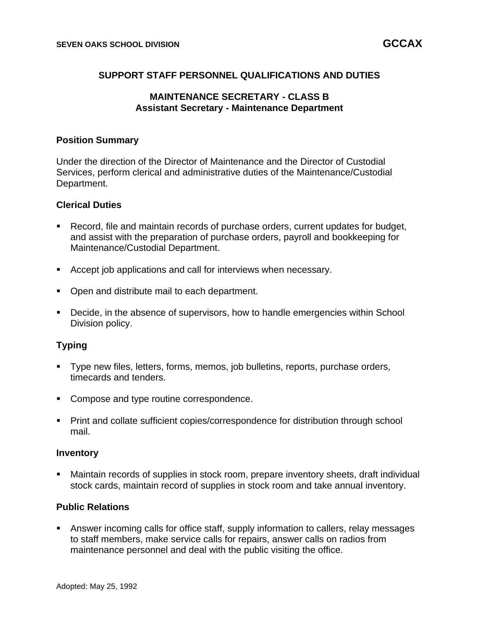## **SUPPORT STAFF PERSONNEL QUALIFICATIONS AND DUTIES**

### **MAINTENANCE SECRETARY - CLASS B Assistant Secretary - Maintenance Department**

#### **Position Summary**

Under the direction of the Director of Maintenance and the Director of Custodial Services, perform clerical and administrative duties of the Maintenance/Custodial Department.

#### **Clerical Duties**

- Record, file and maintain records of purchase orders, current updates for budget, and assist with the preparation of purchase orders, payroll and bookkeeping for Maintenance/Custodial Department.
- Accept job applications and call for interviews when necessary.
- Open and distribute mail to each department.
- Decide, in the absence of supervisors, how to handle emergencies within School Division policy.

### **Typing**

- Type new files, letters, forms, memos, job bulletins, reports, purchase orders, timecards and tenders.
- Compose and type routine correspondence.
- Print and collate sufficient copies/correspondence for distribution through school mail.

#### **Inventory**

Maintain records of supplies in stock room, prepare inventory sheets, draft individual stock cards, maintain record of supplies in stock room and take annual inventory.

### **Public Relations**

■ Answer incoming calls for office staff, supply information to callers, relay messages to staff members, make service calls for repairs, answer calls on radios from maintenance personnel and deal with the public visiting the office.